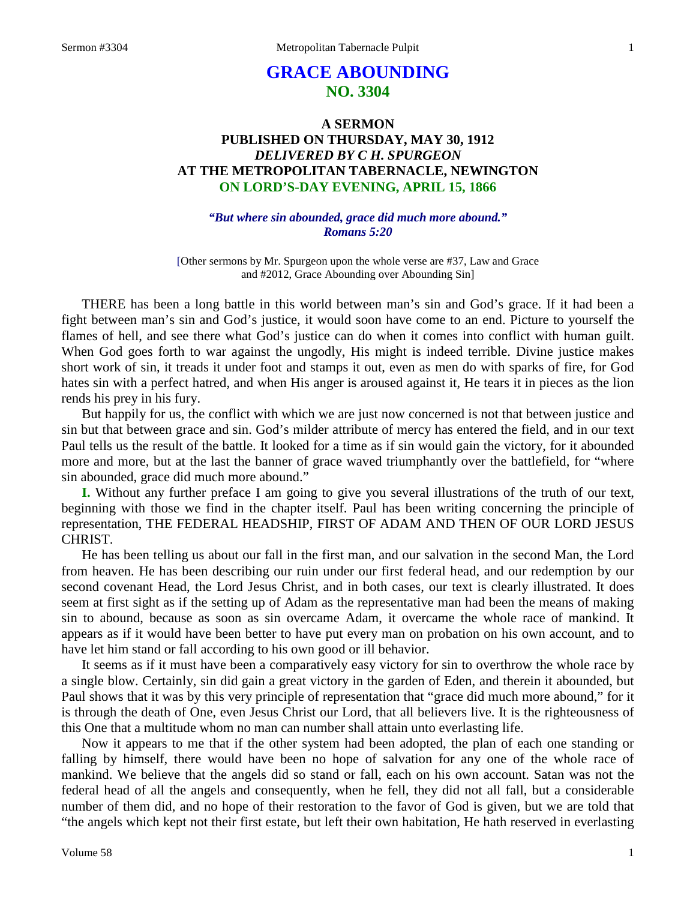# **GRACE ABOUNDING NO. 3304**

## **A SERMON PUBLISHED ON THURSDAY, MAY 30, 1912** *DELIVERED BY C H. SPURGEON* **AT THE METROPOLITAN TABERNACLE, NEWINGTON ON LORD'S-DAY EVENING, APRIL 15, 1866**

## *"But where sin abounded, grace did much more abound." Romans 5:20*

[Other sermons by Mr. Spurgeon upon the whole verse are #37, Law and Grace and #2012, Grace Abounding over Abounding Sin]

THERE has been a long battle in this world between man's sin and God's grace. If it had been a fight between man's sin and God's justice, it would soon have come to an end. Picture to yourself the flames of hell, and see there what God's justice can do when it comes into conflict with human guilt. When God goes forth to war against the ungodly, His might is indeed terrible. Divine justice makes short work of sin, it treads it under foot and stamps it out, even as men do with sparks of fire, for God hates sin with a perfect hatred, and when His anger is aroused against it, He tears it in pieces as the lion rends his prey in his fury.

But happily for us, the conflict with which we are just now concerned is not that between justice and sin but that between grace and sin. God's milder attribute of mercy has entered the field, and in our text Paul tells us the result of the battle. It looked for a time as if sin would gain the victory, for it abounded more and more, but at the last the banner of grace waved triumphantly over the battlefield, for "where sin abounded, grace did much more abound."

**I.** Without any further preface I am going to give you several illustrations of the truth of our text, beginning with those we find in the chapter itself. Paul has been writing concerning the principle of representation, THE FEDERAL HEADSHIP, FIRST OF ADAM AND THEN OF OUR LORD JESUS CHRIST.

He has been telling us about our fall in the first man, and our salvation in the second Man, the Lord from heaven. He has been describing our ruin under our first federal head, and our redemption by our second covenant Head, the Lord Jesus Christ, and in both cases, our text is clearly illustrated. It does seem at first sight as if the setting up of Adam as the representative man had been the means of making sin to abound, because as soon as sin overcame Adam, it overcame the whole race of mankind. It appears as if it would have been better to have put every man on probation on his own account, and to have let him stand or fall according to his own good or ill behavior.

It seems as if it must have been a comparatively easy victory for sin to overthrow the whole race by a single blow. Certainly, sin did gain a great victory in the garden of Eden, and therein it abounded, but Paul shows that it was by this very principle of representation that "grace did much more abound," for it is through the death of One, even Jesus Christ our Lord, that all believers live. It is the righteousness of this One that a multitude whom no man can number shall attain unto everlasting life.

Now it appears to me that if the other system had been adopted, the plan of each one standing or falling by himself, there would have been no hope of salvation for any one of the whole race of mankind. We believe that the angels did so stand or fall, each on his own account. Satan was not the federal head of all the angels and consequently, when he fell, they did not all fall, but a considerable number of them did, and no hope of their restoration to the favor of God is given, but we are told that "the angels which kept not their first estate, but left their own habitation, He hath reserved in everlasting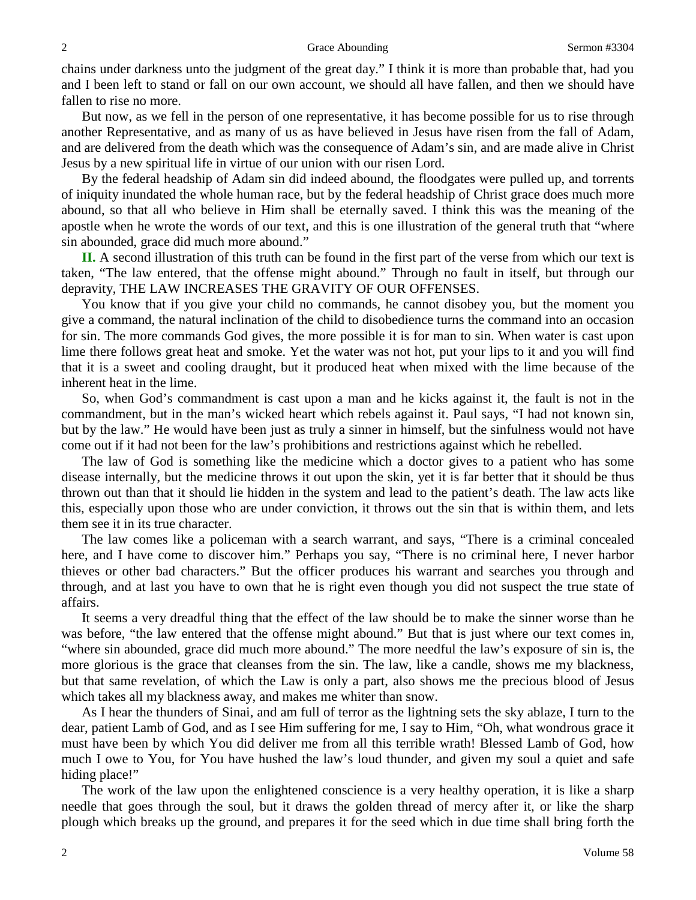chains under darkness unto the judgment of the great day." I think it is more than probable that, had you and I been left to stand or fall on our own account, we should all have fallen, and then we should have fallen to rise no more.

But now, as we fell in the person of one representative, it has become possible for us to rise through another Representative, and as many of us as have believed in Jesus have risen from the fall of Adam, and are delivered from the death which was the consequence of Adam's sin, and are made alive in Christ Jesus by a new spiritual life in virtue of our union with our risen Lord.

By the federal headship of Adam sin did indeed abound, the floodgates were pulled up, and torrents of iniquity inundated the whole human race, but by the federal headship of Christ grace does much more abound, so that all who believe in Him shall be eternally saved. I think this was the meaning of the apostle when he wrote the words of our text, and this is one illustration of the general truth that "where sin abounded, grace did much more abound."

**II.** A second illustration of this truth can be found in the first part of the verse from which our text is taken, "The law entered, that the offense might abound." Through no fault in itself, but through our depravity, THE LAW INCREASES THE GRAVITY OF OUR OFFENSES.

You know that if you give your child no commands, he cannot disobey you, but the moment you give a command, the natural inclination of the child to disobedience turns the command into an occasion for sin. The more commands God gives, the more possible it is for man to sin. When water is cast upon lime there follows great heat and smoke. Yet the water was not hot, put your lips to it and you will find that it is a sweet and cooling draught, but it produced heat when mixed with the lime because of the inherent heat in the lime.

So, when God's commandment is cast upon a man and he kicks against it, the fault is not in the commandment, but in the man's wicked heart which rebels against it. Paul says, "I had not known sin, but by the law." He would have been just as truly a sinner in himself, but the sinfulness would not have come out if it had not been for the law's prohibitions and restrictions against which he rebelled.

The law of God is something like the medicine which a doctor gives to a patient who has some disease internally, but the medicine throws it out upon the skin, yet it is far better that it should be thus thrown out than that it should lie hidden in the system and lead to the patient's death. The law acts like this, especially upon those who are under conviction, it throws out the sin that is within them, and lets them see it in its true character.

The law comes like a policeman with a search warrant, and says, "There is a criminal concealed here, and I have come to discover him." Perhaps you say, "There is no criminal here, I never harbor thieves or other bad characters." But the officer produces his warrant and searches you through and through, and at last you have to own that he is right even though you did not suspect the true state of affairs.

It seems a very dreadful thing that the effect of the law should be to make the sinner worse than he was before, "the law entered that the offense might abound." But that is just where our text comes in, "where sin abounded, grace did much more abound." The more needful the law's exposure of sin is, the more glorious is the grace that cleanses from the sin. The law, like a candle, shows me my blackness, but that same revelation, of which the Law is only a part, also shows me the precious blood of Jesus which takes all my blackness away, and makes me whiter than snow.

As I hear the thunders of Sinai, and am full of terror as the lightning sets the sky ablaze, I turn to the dear, patient Lamb of God, and as I see Him suffering for me, I say to Him, "Oh, what wondrous grace it must have been by which You did deliver me from all this terrible wrath! Blessed Lamb of God, how much I owe to You, for You have hushed the law's loud thunder, and given my soul a quiet and safe hiding place!"

The work of the law upon the enlightened conscience is a very healthy operation, it is like a sharp needle that goes through the soul, but it draws the golden thread of mercy after it, or like the sharp plough which breaks up the ground, and prepares it for the seed which in due time shall bring forth the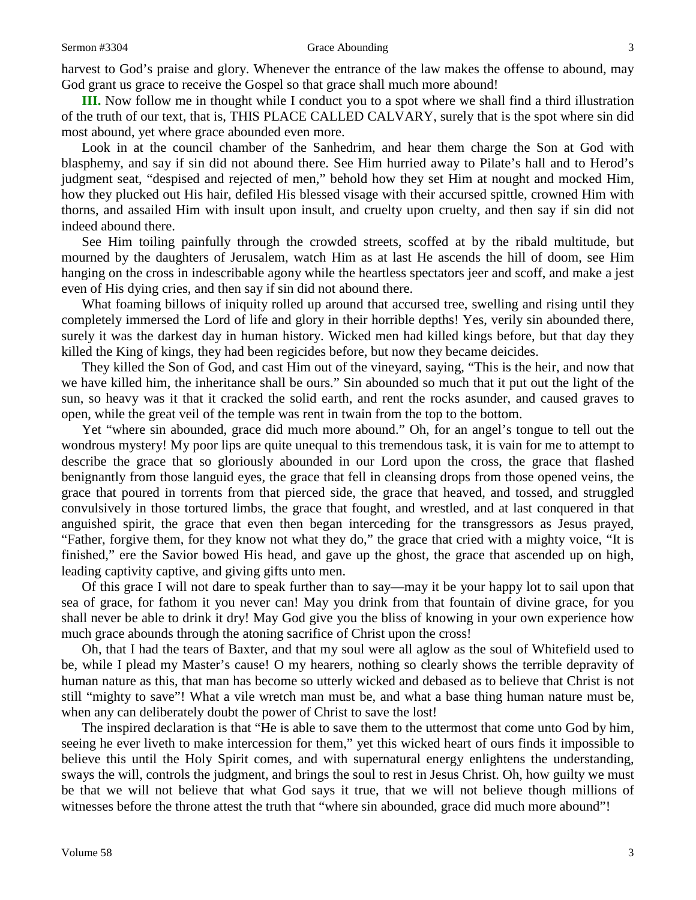harvest to God's praise and glory. Whenever the entrance of the law makes the offense to abound, may God grant us grace to receive the Gospel so that grace shall much more abound!

**III.** Now follow me in thought while I conduct you to a spot where we shall find a third illustration of the truth of our text, that is, THIS PLACE CALLED CALVARY, surely that is the spot where sin did most abound, yet where grace abounded even more.

Look in at the council chamber of the Sanhedrim, and hear them charge the Son at God with blasphemy, and say if sin did not abound there. See Him hurried away to Pilate's hall and to Herod's judgment seat, "despised and rejected of men," behold how they set Him at nought and mocked Him, how they plucked out His hair, defiled His blessed visage with their accursed spittle, crowned Him with thorns, and assailed Him with insult upon insult, and cruelty upon cruelty, and then say if sin did not indeed abound there.

See Him toiling painfully through the crowded streets, scoffed at by the ribald multitude, but mourned by the daughters of Jerusalem, watch Him as at last He ascends the hill of doom, see Him hanging on the cross in indescribable agony while the heartless spectators jeer and scoff, and make a jest even of His dying cries, and then say if sin did not abound there.

What foaming billows of iniquity rolled up around that accursed tree, swelling and rising until they completely immersed the Lord of life and glory in their horrible depths! Yes, verily sin abounded there, surely it was the darkest day in human history. Wicked men had killed kings before, but that day they killed the King of kings, they had been regicides before, but now they became deicides.

They killed the Son of God, and cast Him out of the vineyard, saying, "This is the heir, and now that we have killed him, the inheritance shall be ours." Sin abounded so much that it put out the light of the sun, so heavy was it that it cracked the solid earth, and rent the rocks asunder, and caused graves to open, while the great veil of the temple was rent in twain from the top to the bottom.

Yet "where sin abounded, grace did much more abound." Oh, for an angel's tongue to tell out the wondrous mystery! My poor lips are quite unequal to this tremendous task, it is vain for me to attempt to describe the grace that so gloriously abounded in our Lord upon the cross, the grace that flashed benignantly from those languid eyes, the grace that fell in cleansing drops from those opened veins, the grace that poured in torrents from that pierced side, the grace that heaved, and tossed, and struggled convulsively in those tortured limbs, the grace that fought, and wrestled, and at last conquered in that anguished spirit, the grace that even then began interceding for the transgressors as Jesus prayed, "Father, forgive them, for they know not what they do," the grace that cried with a mighty voice, "It is finished," ere the Savior bowed His head, and gave up the ghost, the grace that ascended up on high, leading captivity captive, and giving gifts unto men.

Of this grace I will not dare to speak further than to say—may it be your happy lot to sail upon that sea of grace, for fathom it you never can! May you drink from that fountain of divine grace, for you shall never be able to drink it dry! May God give you the bliss of knowing in your own experience how much grace abounds through the atoning sacrifice of Christ upon the cross!

Oh, that I had the tears of Baxter, and that my soul were all aglow as the soul of Whitefield used to be, while I plead my Master's cause! O my hearers, nothing so clearly shows the terrible depravity of human nature as this, that man has become so utterly wicked and debased as to believe that Christ is not still "mighty to save"! What a vile wretch man must be, and what a base thing human nature must be, when any can deliberately doubt the power of Christ to save the lost!

The inspired declaration is that "He is able to save them to the uttermost that come unto God by him, seeing he ever liveth to make intercession for them," yet this wicked heart of ours finds it impossible to believe this until the Holy Spirit comes, and with supernatural energy enlightens the understanding, sways the will, controls the judgment, and brings the soul to rest in Jesus Christ. Oh, how guilty we must be that we will not believe that what God says it true, that we will not believe though millions of witnesses before the throne attest the truth that "where sin abounded, grace did much more abound"!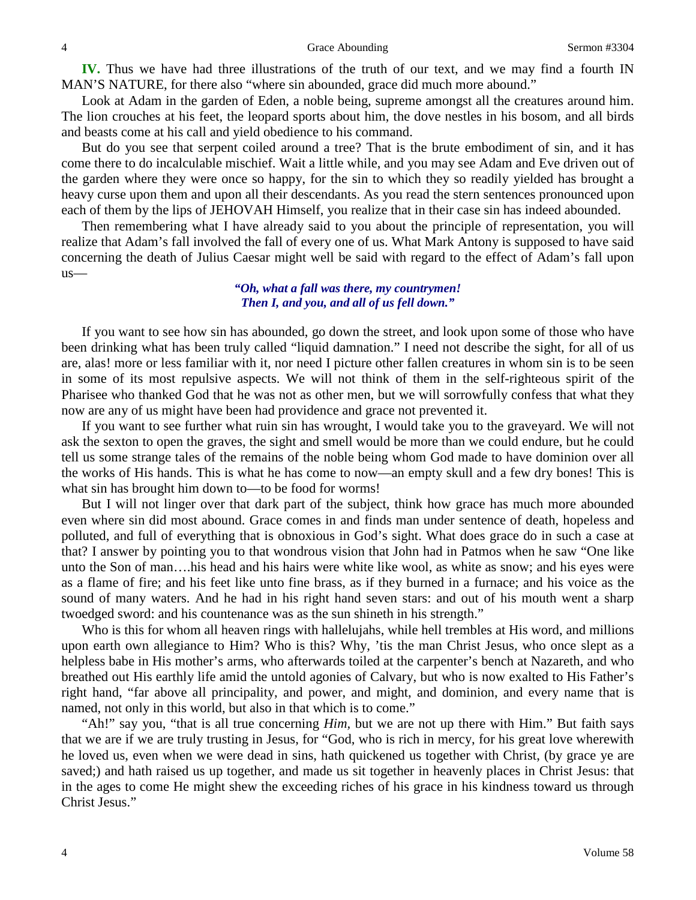**IV.** Thus we have had three illustrations of the truth of our text, and we may find a fourth IN MAN'S NATURE, for there also "where sin abounded, grace did much more abound."

Look at Adam in the garden of Eden, a noble being, supreme amongst all the creatures around him. The lion crouches at his feet, the leopard sports about him, the dove nestles in his bosom, and all birds and beasts come at his call and yield obedience to his command.

But do you see that serpent coiled around a tree? That is the brute embodiment of sin, and it has come there to do incalculable mischief. Wait a little while, and you may see Adam and Eve driven out of the garden where they were once so happy, for the sin to which they so readily yielded has brought a heavy curse upon them and upon all their descendants. As you read the stern sentences pronounced upon each of them by the lips of JEHOVAH Himself, you realize that in their case sin has indeed abounded.

Then remembering what I have already said to you about the principle of representation, you will realize that Adam's fall involved the fall of every one of us. What Mark Antony is supposed to have said concerning the death of Julius Caesar might well be said with regard to the effect of Adam's fall upon us—

## *"Oh, what a fall was there, my countrymen! Then I, and you, and all of us fell down."*

If you want to see how sin has abounded, go down the street, and look upon some of those who have been drinking what has been truly called "liquid damnation." I need not describe the sight, for all of us are, alas! more or less familiar with it, nor need I picture other fallen creatures in whom sin is to be seen in some of its most repulsive aspects. We will not think of them in the self-righteous spirit of the Pharisee who thanked God that he was not as other men, but we will sorrowfully confess that what they now are any of us might have been had providence and grace not prevented it.

If you want to see further what ruin sin has wrought, I would take you to the graveyard. We will not ask the sexton to open the graves, the sight and smell would be more than we could endure, but he could tell us some strange tales of the remains of the noble being whom God made to have dominion over all the works of His hands. This is what he has come to now—an empty skull and a few dry bones! This is what sin has brought him down to—to be food for worms!

But I will not linger over that dark part of the subject, think how grace has much more abounded even where sin did most abound. Grace comes in and finds man under sentence of death, hopeless and polluted, and full of everything that is obnoxious in God's sight. What does grace do in such a case at that? I answer by pointing you to that wondrous vision that John had in Patmos when he saw "One like unto the Son of man….his head and his hairs were white like wool, as white as snow; and his eyes were as a flame of fire; and his feet like unto fine brass, as if they burned in a furnace; and his voice as the sound of many waters. And he had in his right hand seven stars: and out of his mouth went a sharp twoedged sword: and his countenance was as the sun shineth in his strength."

Who is this for whom all heaven rings with hallelujahs, while hell trembles at His word, and millions upon earth own allegiance to Him? Who is this? Why, 'tis the man Christ Jesus, who once slept as a helpless babe in His mother's arms, who afterwards toiled at the carpenter's bench at Nazareth, and who breathed out His earthly life amid the untold agonies of Calvary, but who is now exalted to His Father's right hand, "far above all principality, and power, and might, and dominion, and every name that is named, not only in this world, but also in that which is to come."

"Ah!" say you, "that is all true concerning *Him,* but we are not up there with Him." But faith says that we are if we are truly trusting in Jesus, for "God, who is rich in mercy, for his great love wherewith he loved us, even when we were dead in sins, hath quickened us together with Christ, (by grace ye are saved;) and hath raised us up together, and made us sit together in heavenly places in Christ Jesus: that in the ages to come He might shew the exceeding riches of his grace in his kindness toward us through Christ Jesus."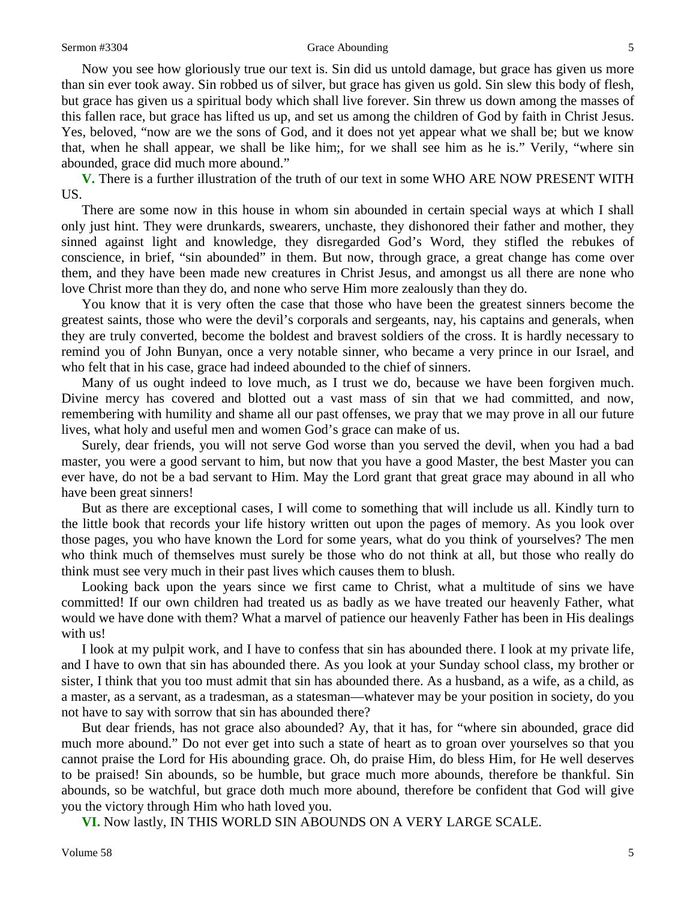#### Sermon #3304 Grace Abounding 5

Now you see how gloriously true our text is. Sin did us untold damage, but grace has given us more than sin ever took away. Sin robbed us of silver, but grace has given us gold. Sin slew this body of flesh, but grace has given us a spiritual body which shall live forever. Sin threw us down among the masses of this fallen race, but grace has lifted us up, and set us among the children of God by faith in Christ Jesus. Yes, beloved, "now are we the sons of God, and it does not yet appear what we shall be; but we know that, when he shall appear, we shall be like him;, for we shall see him as he is." Verily, "where sin abounded, grace did much more abound."

**V.** There is a further illustration of the truth of our text in some WHO ARE NOW PRESENT WITH US.

There are some now in this house in whom sin abounded in certain special ways at which I shall only just hint. They were drunkards, swearers, unchaste, they dishonored their father and mother, they sinned against light and knowledge, they disregarded God's Word, they stifled the rebukes of conscience, in brief, "sin abounded" in them. But now, through grace, a great change has come over them, and they have been made new creatures in Christ Jesus, and amongst us all there are none who love Christ more than they do, and none who serve Him more zealously than they do.

You know that it is very often the case that those who have been the greatest sinners become the greatest saints, those who were the devil's corporals and sergeants, nay, his captains and generals, when they are truly converted, become the boldest and bravest soldiers of the cross. It is hardly necessary to remind you of John Bunyan, once a very notable sinner, who became a very prince in our Israel, and who felt that in his case, grace had indeed abounded to the chief of sinners.

Many of us ought indeed to love much, as I trust we do, because we have been forgiven much. Divine mercy has covered and blotted out a vast mass of sin that we had committed, and now, remembering with humility and shame all our past offenses, we pray that we may prove in all our future lives, what holy and useful men and women God's grace can make of us.

Surely, dear friends, you will not serve God worse than you served the devil, when you had a bad master, you were a good servant to him, but now that you have a good Master, the best Master you can ever have, do not be a bad servant to Him. May the Lord grant that great grace may abound in all who have been great sinners!

But as there are exceptional cases, I will come to something that will include us all. Kindly turn to the little book that records your life history written out upon the pages of memory. As you look over those pages, you who have known the Lord for some years, what do you think of yourselves? The men who think much of themselves must surely be those who do not think at all, but those who really do think must see very much in their past lives which causes them to blush.

Looking back upon the years since we first came to Christ, what a multitude of sins we have committed! If our own children had treated us as badly as we have treated our heavenly Father, what would we have done with them? What a marvel of patience our heavenly Father has been in His dealings with us!

I look at my pulpit work, and I have to confess that sin has abounded there. I look at my private life, and I have to own that sin has abounded there. As you look at your Sunday school class, my brother or sister, I think that you too must admit that sin has abounded there. As a husband, as a wife, as a child, as a master, as a servant, as a tradesman, as a statesman—whatever may be your position in society, do you not have to say with sorrow that sin has abounded there?

But dear friends, has not grace also abounded? Ay, that it has, for "where sin abounded, grace did much more abound." Do not ever get into such a state of heart as to groan over yourselves so that you cannot praise the Lord for His abounding grace. Oh, do praise Him, do bless Him, for He well deserves to be praised! Sin abounds, so be humble, but grace much more abounds, therefore be thankful. Sin abounds, so be watchful, but grace doth much more abound, therefore be confident that God will give you the victory through Him who hath loved you.

**VI.** Now lastly, IN THIS WORLD SIN ABOUNDS ON A VERY LARGE SCALE.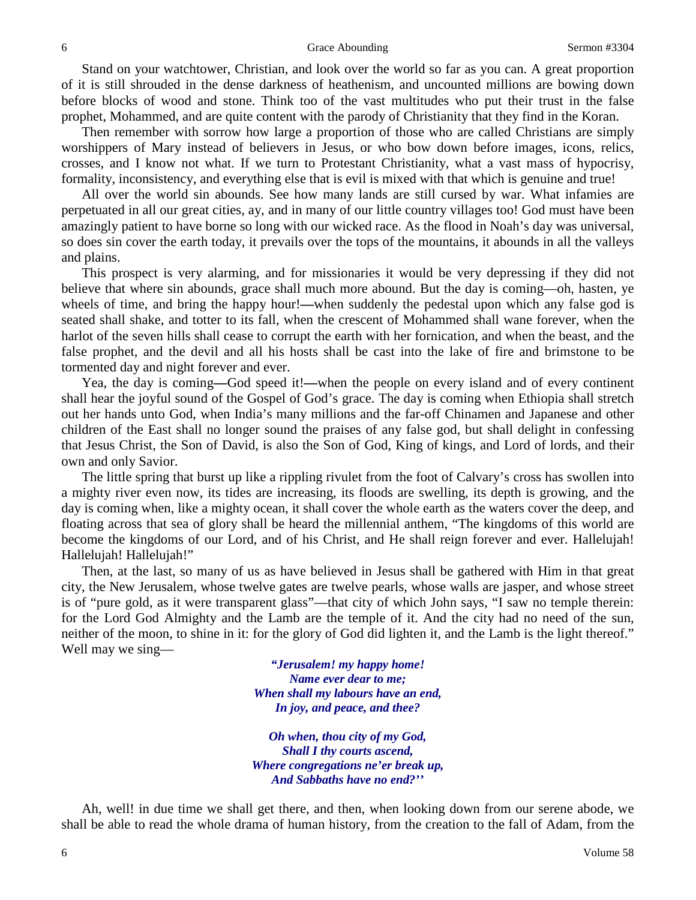Stand on your watchtower, Christian, and look over the world so far as you can. A great proportion of it is still shrouded in the dense darkness of heathenism, and uncounted millions are bowing down before blocks of wood and stone. Think too of the vast multitudes who put their trust in the false prophet, Mohammed, and are quite content with the parody of Christianity that they find in the Koran.

Then remember with sorrow how large a proportion of those who are called Christians are simply worshippers of Mary instead of believers in Jesus, or who bow down before images, icons, relics, crosses, and I know not what. If we turn to Protestant Christianity, what a vast mass of hypocrisy, formality, inconsistency, and everything else that is evil is mixed with that which is genuine and true!

All over the world sin abounds. See how many lands are still cursed by war. What infamies are perpetuated in all our great cities, ay, and in many of our little country villages too! God must have been amazingly patient to have borne so long with our wicked race. As the flood in Noah's day was universal, so does sin cover the earth today, it prevails over the tops of the mountains, it abounds in all the valleys and plains.

This prospect is very alarming, and for missionaries it would be very depressing if they did not believe that where sin abounds, grace shall much more abound. But the day is coming—oh, hasten, ye wheels of time, and bring the happy hour!**—**when suddenly the pedestal upon which any false god is seated shall shake, and totter to its fall, when the crescent of Mohammed shall wane forever, when the harlot of the seven hills shall cease to corrupt the earth with her fornication, and when the beast, and the false prophet, and the devil and all his hosts shall be cast into the lake of fire and brimstone to be tormented day and night forever and ever.

Yea, the day is coming**—**God speed it!**—**when the people on every island and of every continent shall hear the joyful sound of the Gospel of God's grace. The day is coming when Ethiopia shall stretch out her hands unto God, when India's many millions and the far-off Chinamen and Japanese and other children of the East shall no longer sound the praises of any false god, but shall delight in confessing that Jesus Christ, the Son of David, is also the Son of God, King of kings, and Lord of lords, and their own and only Savior.

The little spring that burst up like a rippling rivulet from the foot of Calvary's cross has swollen into a mighty river even now, its tides are increasing, its floods are swelling, its depth is growing, and the day is coming when, like a mighty ocean, it shall cover the whole earth as the waters cover the deep, and floating across that sea of glory shall be heard the millennial anthem, "The kingdoms of this world are become the kingdoms of our Lord, and of his Christ, and He shall reign forever and ever. Hallelujah! Hallelujah! Hallelujah!"

Then, at the last, so many of us as have believed in Jesus shall be gathered with Him in that great city, the New Jerusalem, whose twelve gates are twelve pearls, whose walls are jasper, and whose street is of "pure gold, as it were transparent glass"—that city of which John says, "I saw no temple therein: for the Lord God Almighty and the Lamb are the temple of it. And the city had no need of the sun, neither of the moon, to shine in it: for the glory of God did lighten it, and the Lamb is the light thereof." Well may we sing—

> *"Jerusalem! my happy home! Name ever dear to me; When shall my labours have an end, In joy, and peace, and thee?*

*Oh when, thou city of my God, Shall I thy courts ascend, Where congregations ne'er break up, And Sabbaths have no end?''*

Ah, well! in due time we shall get there, and then, when looking down from our serene abode, we shall be able to read the whole drama of human history, from the creation to the fall of Adam, from the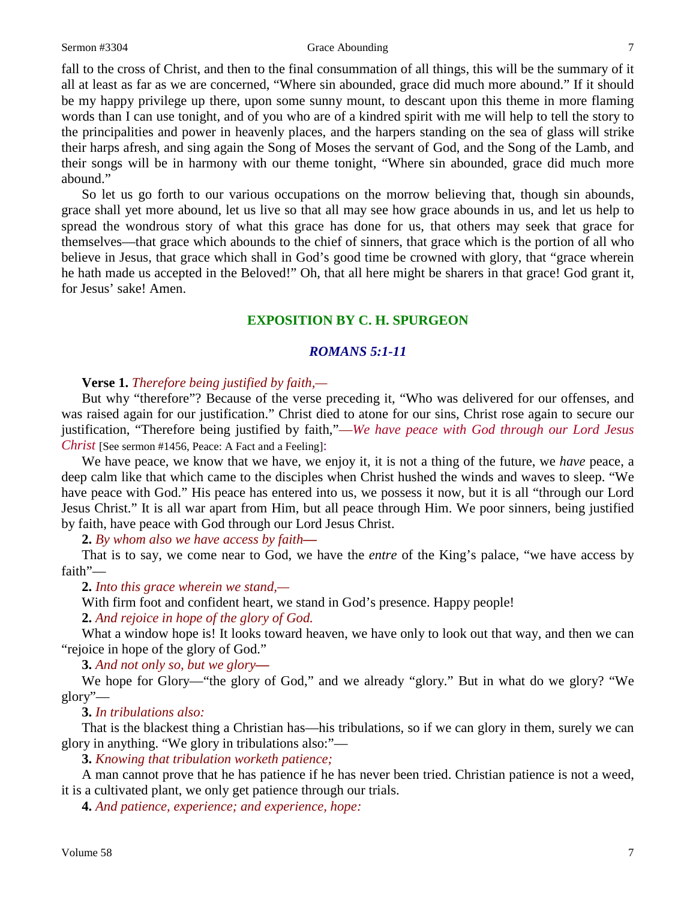### Sermon #3304 Grace Abounding 7

fall to the cross of Christ, and then to the final consummation of all things, this will be the summary of it all at least as far as we are concerned, "Where sin abounded, grace did much more abound." If it should be my happy privilege up there, upon some sunny mount, to descant upon this theme in more flaming words than I can use tonight, and of you who are of a kindred spirit with me will help to tell the story to the principalities and power in heavenly places, and the harpers standing on the sea of glass will strike their harps afresh, and sing again the Song of Moses the servant of God, and the Song of the Lamb, and their songs will be in harmony with our theme tonight, "Where sin abounded, grace did much more abound."

So let us go forth to our various occupations on the morrow believing that, though sin abounds, grace shall yet more abound, let us live so that all may see how grace abounds in us, and let us help to spread the wondrous story of what this grace has done for us, that others may seek that grace for themselves—that grace which abounds to the chief of sinners, that grace which is the portion of all who believe in Jesus, that grace which shall in God's good time be crowned with glory, that "grace wherein he hath made us accepted in the Beloved!" Oh, that all here might be sharers in that grace! God grant it, for Jesus' sake! Amen.

## **EXPOSITION BY C. H. SPURGEON**

## *ROMANS 5:1-11*

## **Verse 1.** *Therefore being justified by faith,—*

But why "therefore"? Because of the verse preceding it, "Who was delivered for our offenses, and was raised again for our justification." Christ died to atone for our sins, Christ rose again to secure our justification, "Therefore being justified by faith,"—*We have peace with God through our Lord Jesus Christ* [See sermon #1456, Peace: A Fact and a Feeling]:

We have peace, we know that we have, we enjoy it, it is not a thing of the future, we *have* peace, a deep calm like that which came to the disciples when Christ hushed the winds and waves to sleep. "We have peace with God." His peace has entered into us, we possess it now, but it is all "through our Lord Jesus Christ." It is all war apart from Him, but all peace through Him. We poor sinners, being justified by faith, have peace with God through our Lord Jesus Christ.

**2.** *By whom also we have access by faith—*

That is to say, we come near to God, we have the *entre* of the King's palace, "we have access by faith"—

**2.** *Into this grace wherein we stand,—*

With firm foot and confident heart, we stand in God's presence. Happy people!

**2.** *And rejoice in hope of the glory of God.*

What a window hope is! It looks toward heaven, we have only to look out that way, and then we can "rejoice in hope of the glory of God."

**3.** *And not only so, but we glory—*

We hope for Glory—"the glory of God," and we already "glory." But in what do we glory? "We glory"—

**3.** *In tribulations also:*

That is the blackest thing a Christian has—his tribulations, so if we can glory in them, surely we can glory in anything. "We glory in tribulations also:"—

**3.** *Knowing that tribulation worketh patience;*

A man cannot prove that he has patience if he has never been tried. Christian patience is not a weed, it is a cultivated plant, we only get patience through our trials.

**4.** *And patience, experience; and experience, hope:*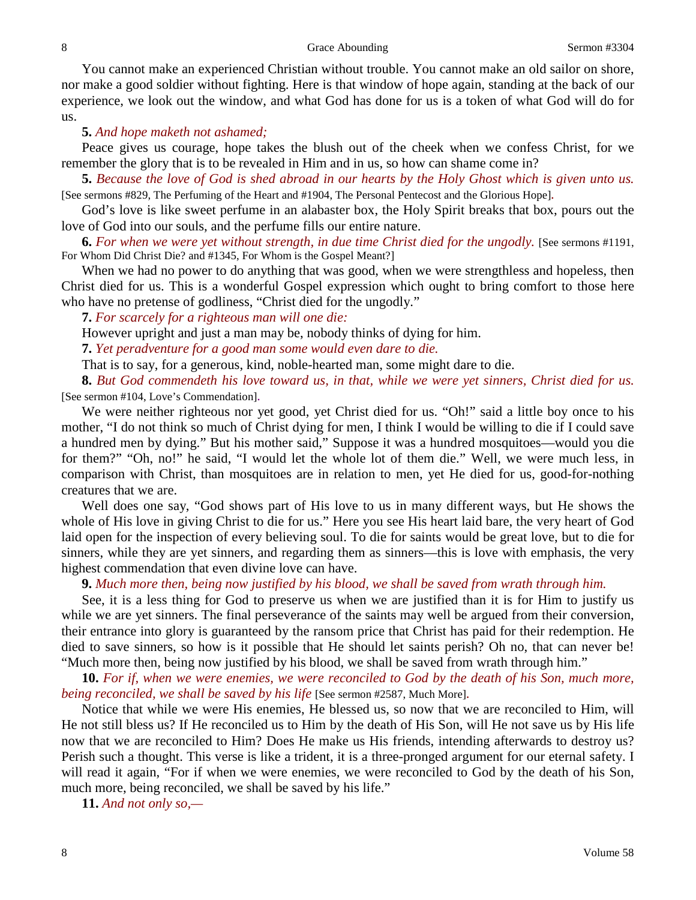#### 8 Sermon #3304

You cannot make an experienced Christian without trouble. You cannot make an old sailor on shore, nor make a good soldier without fighting. Here is that window of hope again, standing at the back of our experience, we look out the window, and what God has done for us is a token of what God will do for us.

## **5.** *And hope maketh not ashamed;*

Peace gives us courage, hope takes the blush out of the cheek when we confess Christ, for we remember the glory that is to be revealed in Him and in us, so how can shame come in?

**5.** *Because the love of God is shed abroad in our hearts by the Holy Ghost which is given unto us.*  [See sermons #829, The Perfuming of the Heart and #1904, The Personal Pentecost and the Glorious Hope]*.*

God's love is like sweet perfume in an alabaster box, the Holy Spirit breaks that box, pours out the love of God into our souls, and the perfume fills our entire nature.

**6.** For when we were yet without strength, in due time Christ died for the ungodly. [See sermons #1191, For Whom Did Christ Die? and #1345, For Whom is the Gospel Meant?]

When we had no power to do anything that was good, when we were strengthless and hopeless, then Christ died for us. This is a wonderful Gospel expression which ought to bring comfort to those here who have no pretense of godliness, "Christ died for the ungodly."

**7.** *For scarcely for a righteous man will one die:*

However upright and just a man may be, nobody thinks of dying for him.

**7.** *Yet peradventure for a good man some would even dare to die.*

That is to say, for a generous, kind, noble-hearted man, some might dare to die.

**8.** *But God commendeth his love toward us, in that, while we were yet sinners, Christ died for us.*  [See sermon #104, Love's Commendation]*.*

We were neither righteous nor yet good, yet Christ died for us. "Oh!" said a little boy once to his mother, "I do not think so much of Christ dying for men, I think I would be willing to die if I could save a hundred men by dying." But his mother said," Suppose it was a hundred mosquitoes—would you die for them?" "Oh, no!" he said, "I would let the whole lot of them die." Well, we were much less, in comparison with Christ, than mosquitoes are in relation to men, yet He died for us, good-for-nothing creatures that we are.

Well does one say, "God shows part of His love to us in many different ways, but He shows the whole of His love in giving Christ to die for us." Here you see His heart laid bare, the very heart of God laid open for the inspection of every believing soul. To die for saints would be great love, but to die for sinners, while they are yet sinners, and regarding them as sinners—this is love with emphasis, the very highest commendation that even divine love can have.

**9.** *Much more then, being now justified by his blood, we shall be saved from wrath through him.*

See, it is a less thing for God to preserve us when we are justified than it is for Him to justify us while we are yet sinners. The final perseverance of the saints may well be argued from their conversion, their entrance into glory is guaranteed by the ransom price that Christ has paid for their redemption. He died to save sinners, so how is it possible that He should let saints perish? Oh no, that can never be! "Much more then, being now justified by his blood, we shall be saved from wrath through him."

**10.** *For if, when we were enemies, we were reconciled to God by the death of his Son, much more, being reconciled, we shall be saved by his life* [See sermon #2587, Much More]*.*

Notice that while we were His enemies, He blessed us, so now that we are reconciled to Him, will He not still bless us? If He reconciled us to Him by the death of His Son, will He not save us by His life now that we are reconciled to Him? Does He make us His friends, intending afterwards to destroy us? Perish such a thought. This verse is like a trident, it is a three-pronged argument for our eternal safety. I will read it again, "For if when we were enemies, we were reconciled to God by the death of his Son, much more, being reconciled, we shall be saved by his life."

**11.** *And not only so,—*